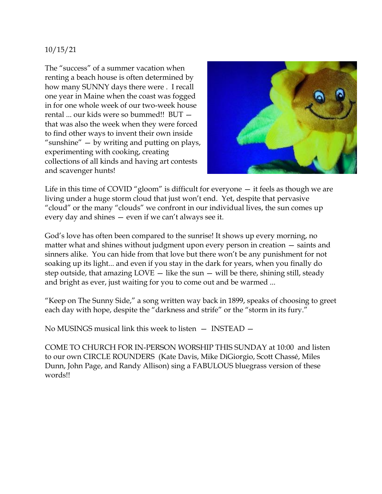## 10/15/21

The "success" of a summer vacation when renting a beach house is often determined by how many SUNNY days there were . I recall one year in Maine when the coast was fogged in for one whole week of our two-week house rental ... our kids were so bummed!! BUT that was also the week when they were forced to find other ways to invent their own inside "sunshine" — by writing and putting on plays, experimenting with cooking, creating collections of all kinds and having art contests and scavenger hunts!



Life in this time of COVID "gloom" is difficult for everyone — it feels as though we are living under a huge storm cloud that just won't end. Yet, despite that pervasive "cloud" or the many "clouds" we confront in our individual lives, the sun comes up every day and shines — even if we can't always see it.

God's love has often been compared to the sunrise! It shows up every morning, no matter what and shines without judgment upon every person in creation — saints and sinners alike. You can hide from that love but there won't be any punishment for not soaking up its light... and even if you stay in the dark for years, when you finally do step outside, that amazing  $LOVE - like$  the sun  $-$  will be there, shining still, steady and bright as ever, just waiting for you to come out and be warmed ...

"Keep on The Sunny Side," a song written way back in 1899, speaks of choosing to greet each day with hope, despite the "darkness and strife" or the "storm in its fury."

No MUSINGS musical link this week to listen — INSTEAD —

COME TO CHURCH FOR IN-PERSON WORSHIP THIS SUNDAY at 10:00 and listen to our own CIRCLE ROUNDERS (Kate Davis, Mike DiGiorgio, Scott Chassé, Miles Dunn, John Page, and Randy Allison) sing a FABULOUS bluegrass version of these words!!